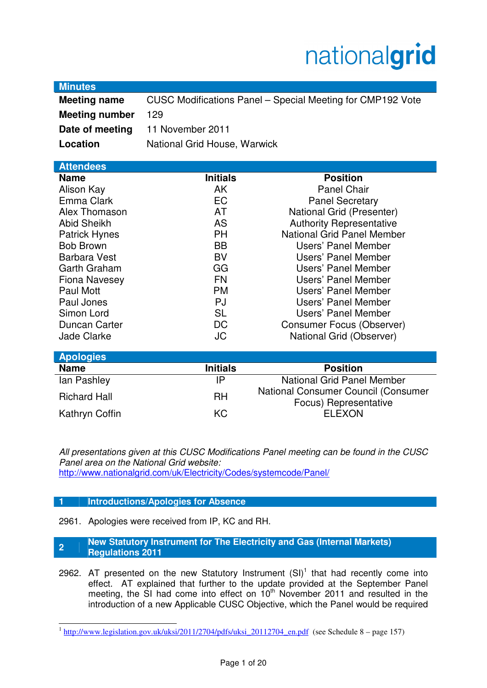# nationalgrid

| mundu<br><b>Meeting name</b> |                              | CUSC Modifications Panel – Special Meeting for CMP192 Vote          |  |  |
|------------------------------|------------------------------|---------------------------------------------------------------------|--|--|
| <b>Meeting number</b>        | 129                          |                                                                     |  |  |
| Date of meeting              | 11 November 2011             |                                                                     |  |  |
| Location                     | National Grid House, Warwick |                                                                     |  |  |
|                              |                              |                                                                     |  |  |
| <b>Attendees</b>             |                              |                                                                     |  |  |
| <b>Name</b>                  | <b>Initials</b>              | <b>Position</b>                                                     |  |  |
| Alison Kay                   | AK                           | <b>Panel Chair</b>                                                  |  |  |
| Emma Clark                   | EC                           | <b>Panel Secretary</b>                                              |  |  |
| Alex Thomason                | <b>AT</b>                    | National Grid (Presenter)                                           |  |  |
| <b>Abid Sheikh</b>           | <b>AS</b>                    | <b>Authority Representative</b>                                     |  |  |
| <b>Patrick Hynes</b>         | <b>PH</b>                    | National Grid Panel Member                                          |  |  |
| <b>Bob Brown</b>             | <b>BB</b>                    | Users' Panel Member                                                 |  |  |
| <b>Barbara Vest</b>          | <b>BV</b>                    | Users' Panel Member                                                 |  |  |
| <b>Garth Graham</b>          | GG                           | Users' Panel Member                                                 |  |  |
| <b>Fiona Navesey</b>         | <b>FN</b>                    | Users' Panel Member                                                 |  |  |
| Paul Mott                    | <b>PM</b>                    | Users' Panel Member                                                 |  |  |
| Paul Jones                   | <b>PJ</b>                    | Users' Panel Member                                                 |  |  |
| Simon Lord                   | <b>SL</b>                    | Users' Panel Member                                                 |  |  |
| <b>Duncan Carter</b>         | <b>DC</b>                    | <b>Consumer Focus (Observer)</b>                                    |  |  |
| <b>Jade Clarke</b>           | <b>JC</b>                    | National Grid (Observer)                                            |  |  |
| <b>Apologies</b>             |                              |                                                                     |  |  |
| <b>Name</b>                  | <b>Initials</b>              | <b>Position</b>                                                     |  |  |
| lan Pashley                  | IP                           | <b>National Grid Panel Member</b>                                   |  |  |
| <b>Richard Hall</b>          | <b>RH</b>                    | <b>National Consumer Council (Consumer</b><br>Focus) Representative |  |  |
| Kathryn Coffin               | <b>KC</b>                    | <b>ELEXON</b>                                                       |  |  |

All presentations given at this CUSC Modifications Panel meeting can be found in the CUSC Panel area on the National Grid website: http://www.nationalgrid.com/uk/Electricity/Codes/systemcode/Panel/

#### **1 Introductions/Apologies for Absence**

**Minutes** 

2961. Apologies were received from IP, KC and RH.

**<sup>2</sup>New Statutory Instrument for The Electricity and Gas (Internal Markets) Regulations 2011** 

2962. AT presented on the new Statutory Instrument  $(SI)^1$  that had recently come into effect. AT explained that further to the update provided at the September Panel meeting, the SI had come into effect on 10<sup>th</sup> November 2011 and resulted in the introduction of a new Applicable CUSC Objective, which the Panel would be required

<sup>&</sup>lt;sup>1</sup> http://www.legislation.gov.uk/uksi/2011/2704/pdfs/uksi\_20112704\_en.pdf (see Schedule 8 – page 157)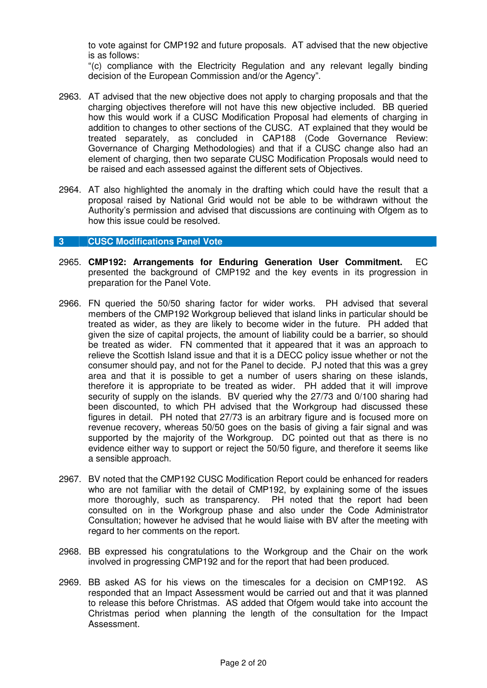to vote against for CMP192 and future proposals. AT advised that the new objective is as follows:

"(c) compliance with the Electricity Regulation and any relevant legally binding decision of the European Commission and/or the Agency".

- 2963. AT advised that the new objective does not apply to charging proposals and that the charging objectives therefore will not have this new objective included. BB queried how this would work if a CUSC Modification Proposal had elements of charging in addition to changes to other sections of the CUSC. AT explained that they would be treated separately, as concluded in CAP188 (Code Governance Review: Governance of Charging Methodologies) and that if a CUSC change also had an element of charging, then two separate CUSC Modification Proposals would need to be raised and each assessed against the different sets of Objectives.
- 2964. AT also highlighted the anomaly in the drafting which could have the result that a proposal raised by National Grid would not be able to be withdrawn without the Authority's permission and advised that discussions are continuing with Ofgem as to how this issue could be resolved.

#### **3 CUSC Modifications Panel Vote**

- 2965. **CMP192: Arrangements for Enduring Generation User Commitment.** EC presented the background of CMP192 and the key events in its progression in preparation for the Panel Vote.
- 2966. FN queried the 50/50 sharing factor for wider works. PH advised that several members of the CMP192 Workgroup believed that island links in particular should be treated as wider, as they are likely to become wider in the future. PH added that given the size of capital projects, the amount of liability could be a barrier, so should be treated as wider. FN commented that it appeared that it was an approach to relieve the Scottish Island issue and that it is a DECC policy issue whether or not the consumer should pay, and not for the Panel to decide. PJ noted that this was a grey area and that it is possible to get a number of users sharing on these islands, therefore it is appropriate to be treated as wider. PH added that it will improve security of supply on the islands. BV queried why the 27/73 and 0/100 sharing had been discounted, to which PH advised that the Workgroup had discussed these figures in detail. PH noted that 27/73 is an arbitrary figure and is focused more on revenue recovery, whereas 50/50 goes on the basis of giving a fair signal and was supported by the majority of the Workgroup. DC pointed out that as there is no evidence either way to support or reject the 50/50 figure, and therefore it seems like a sensible approach.
- 2967. BV noted that the CMP192 CUSC Modification Report could be enhanced for readers who are not familiar with the detail of CMP192, by explaining some of the issues more thoroughly, such as transparency. PH noted that the report had been consulted on in the Workgroup phase and also under the Code Administrator Consultation; however he advised that he would liaise with BV after the meeting with regard to her comments on the report.
- 2968. BB expressed his congratulations to the Workgroup and the Chair on the work involved in progressing CMP192 and for the report that had been produced.
- 2969. BB asked AS for his views on the timescales for a decision on CMP192. AS responded that an Impact Assessment would be carried out and that it was planned to release this before Christmas. AS added that Ofgem would take into account the Christmas period when planning the length of the consultation for the Impact Assessment.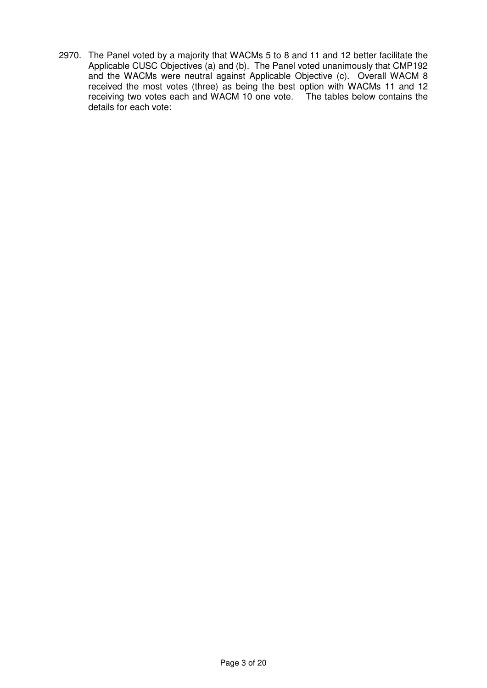2970. The Panel voted by a majority that WACMs 5 to 8 and 11 and 12 better facilitate the Applicable CUSC Objectives (a) and (b). The Panel voted unanimously that CMP192 and the WACMs were neutral against Applicable Objective (c). Overall WACM 8 received the most votes (three) as being the best option with WACMs 11 and 12 receiving two votes each and WACM 10 one vote. The tables below contains the details for each vote: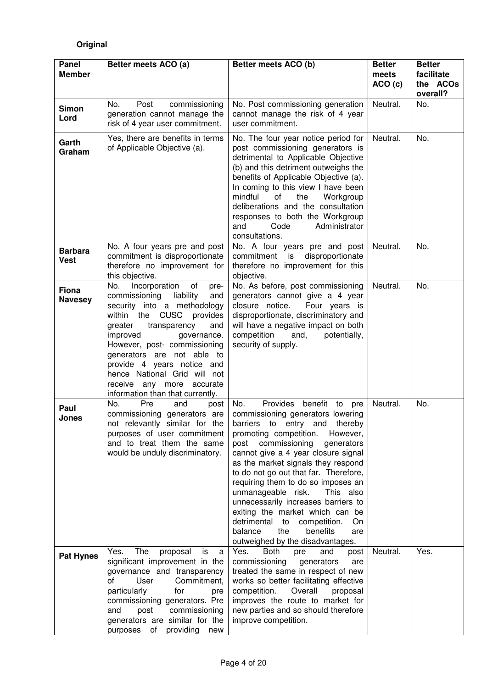# **Original**

| Panel<br><b>Member</b>        | Better meets ACO (a)                                                                                                                                                                                                                                                                                                                                                                         | Better meets ACO (b)                                                                                                                                                                                                                                                                                                                                                                                                                                                                                                                                                                                          | <b>Better</b><br>meets<br>ACO (c) | <b>Better</b><br>facilitate<br>the ACOs<br>overall? |
|-------------------------------|----------------------------------------------------------------------------------------------------------------------------------------------------------------------------------------------------------------------------------------------------------------------------------------------------------------------------------------------------------------------------------------------|---------------------------------------------------------------------------------------------------------------------------------------------------------------------------------------------------------------------------------------------------------------------------------------------------------------------------------------------------------------------------------------------------------------------------------------------------------------------------------------------------------------------------------------------------------------------------------------------------------------|-----------------------------------|-----------------------------------------------------|
| <b>Simon</b><br>Lord          | No.<br>Post<br>commissioning<br>generation cannot manage the<br>risk of 4 year user commitment.                                                                                                                                                                                                                                                                                              | No. Post commissioning generation<br>cannot manage the risk of 4 year<br>user commitment.                                                                                                                                                                                                                                                                                                                                                                                                                                                                                                                     | Neutral.                          | No.                                                 |
| Garth<br>Graham               | Yes, there are benefits in terms<br>of Applicable Objective (a).                                                                                                                                                                                                                                                                                                                             | No. The four year notice period for<br>post commissioning generators is<br>detrimental to Applicable Objective<br>(b) and this detriment outweighs the<br>benefits of Applicable Objective (a).<br>In coming to this view I have been<br>mindful<br>of<br>the<br>Workgroup<br>deliberations and the consultation<br>responses to both the Workgroup<br>and<br>Code<br>Administrator<br>consultations.                                                                                                                                                                                                         | Neutral.                          | No.                                                 |
| <b>Barbara</b><br><b>Vest</b> | No. A four years pre and post<br>commitment is disproportionate<br>therefore no improvement for<br>this objective.                                                                                                                                                                                                                                                                           | No. A four years pre and post<br>commitment<br>is<br>disproportionate<br>therefore no improvement for this<br>objective.                                                                                                                                                                                                                                                                                                                                                                                                                                                                                      | Neutral.                          | No.                                                 |
| Fiona<br><b>Navesey</b>       | Incorporation<br>of<br>No.<br>pre-<br>commissioning<br>liability<br>and<br>security into a methodology<br>within the CUSC provides<br>greater<br>transparency<br>and<br>improved<br>governance.<br>However, post- commissioning<br>generators are not able to<br>provide 4 years notice and<br>hence National Grid will not<br>receive any more accurate<br>information than that currently. | No. As before, post commissioning<br>generators cannot give a 4 year<br>closure notice.<br>Four years is<br>disproportionate, discriminatory and<br>will have a negative impact on both<br>competition<br>and,<br>potentially,<br>security of supply.                                                                                                                                                                                                                                                                                                                                                         | Neutral.                          | No.                                                 |
| Paul<br>Jones                 | No.<br>Pre<br>and<br>post<br>commissioning generators are<br>purposes of user commitment<br>and to treat them the same<br>would be unduly discriminatory.                                                                                                                                                                                                                                    | Provides benefit to pre<br>No.<br>commissioning generators lowering<br>not relevantly similar for the barriers to entry and thereby<br>promoting competition.<br>However,<br>commissioning<br>post<br>generators<br>cannot give a 4 year closure signal<br>as the market signals they respond<br>to do not go out that far. Therefore,<br>requiring them to do so imposes an<br>unmanageable risk.<br>This also<br>unnecessarily increases barriers to<br>exiting the market which can be<br>detrimental<br>to<br>competition.<br>On<br>balance<br>the<br>benefits<br>are<br>outweighed by the disadvantages. | Neutral.                          | No.                                                 |
| <b>Pat Hynes</b>              | The<br>Yes.<br>proposal<br>is<br>a<br>significant improvement in the<br>governance and transparency<br>of<br>User<br>Commitment,<br>particularly<br>for<br>pre<br>commissioning generators. Pre<br>commissioning<br>and<br>post<br>generators are similar for the<br>purposes of providing new                                                                                               | Yes.<br><b>Both</b><br>and<br>pre<br>post<br>commissioning<br>generators<br>are<br>treated the same in respect of new<br>works so better facilitating effective<br>Overall<br>competition.<br>proposal<br>improves the route to market for<br>new parties and so should therefore<br>improve competition.                                                                                                                                                                                                                                                                                                     | Neutral.                          | Yes.                                                |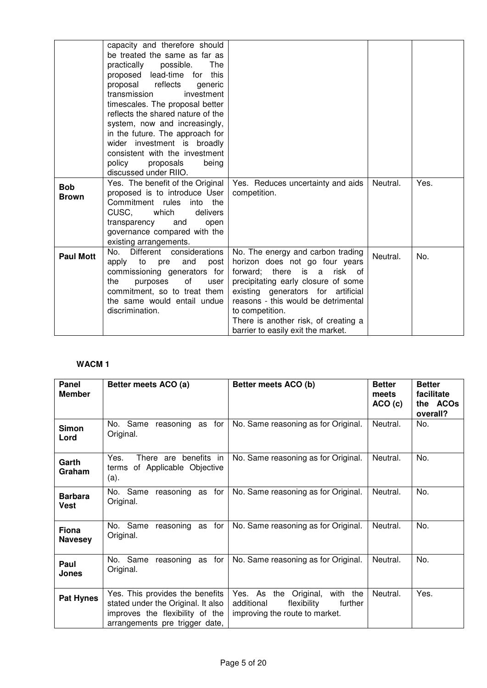|                            | capacity and therefore should<br>be treated the same as far as<br>practically possible.<br><b>The</b><br>proposed lead-time for<br>this<br>proposal reflects<br>generic<br>transmission<br>investment<br>timescales. The proposal better<br>reflects the shared nature of the<br>system, now and increasingly,<br>in the future. The approach for<br>wider investment is broadly<br>consistent with the investment<br>policy<br>proposals<br>being<br>discussed under RIIO.<br>Yes. The benefit of the Original | Yes. Reduces uncertainty and aids                                                             | Neutral. | Yes. |
|----------------------------|-----------------------------------------------------------------------------------------------------------------------------------------------------------------------------------------------------------------------------------------------------------------------------------------------------------------------------------------------------------------------------------------------------------------------------------------------------------------------------------------------------------------|-----------------------------------------------------------------------------------------------|----------|------|
| <b>Bob</b><br><b>Brown</b> | proposed is to introduce User<br>Commitment rules<br>into<br>the                                                                                                                                                                                                                                                                                                                                                                                                                                                | competition.                                                                                  |          |      |
|                            | CUSC,<br>which<br>delivers<br>transparency<br>and<br>open                                                                                                                                                                                                                                                                                                                                                                                                                                                       |                                                                                               |          |      |
|                            | governance compared with the<br>existing arrangements.                                                                                                                                                                                                                                                                                                                                                                                                                                                          |                                                                                               |          |      |
| <b>Paul Mott</b>           | Different considerations<br>No.<br>apply<br>to<br>and<br>post<br>pre                                                                                                                                                                                                                                                                                                                                                                                                                                            | No. The energy and carbon trading<br>horizon does not go four years                           | Neutral. | No.  |
|                            | commissioning generators for<br>the<br>purposes<br>οf<br>user                                                                                                                                                                                                                                                                                                                                                                                                                                                   | forward; there is a<br>risk of<br>precipitating early closure of some                         |          |      |
|                            | commitment, so to treat them<br>the same would entail undue                                                                                                                                                                                                                                                                                                                                                                                                                                                     | existing generators for artificial<br>reasons - this would be detrimental                     |          |      |
|                            | discrimination.                                                                                                                                                                                                                                                                                                                                                                                                                                                                                                 | to competition.<br>There is another risk, of creating a<br>barrier to easily exit the market. |          |      |

| Panel<br><b>Member</b>         | Better meets ACO (a)                                                                                                                       | Better meets ACO (b)                                                                                           | <b>Better</b><br>meets<br>ACO(c) | <b>Better</b><br>facilitate<br>the ACOs<br>overall? |
|--------------------------------|--------------------------------------------------------------------------------------------------------------------------------------------|----------------------------------------------------------------------------------------------------------------|----------------------------------|-----------------------------------------------------|
| <b>Simon</b><br>Lord           | No. Same<br>reasoning as for<br>Original.                                                                                                  | No. Same reasoning as for Original.                                                                            | Neutral.                         | No.                                                 |
| Garth<br>Graham                | Yes.<br>benefits<br>in<br>There are<br>of Applicable Objective<br>terms<br>(a).                                                            | No. Same reasoning as for Original.                                                                            | Neutral.                         | No.                                                 |
| <b>Barbara</b><br>Vest         | No. Same reasoning as for<br>Original.                                                                                                     | No. Same reasoning as for Original.                                                                            | Neutral.                         | No.                                                 |
| <b>Fiona</b><br><b>Navesey</b> | No. Same<br>reasoning as for<br>Original.                                                                                                  | No. Same reasoning as for Original.                                                                            | Neutral.                         | No.                                                 |
| Paul<br><b>Jones</b>           | No. Same reasoning as for<br>Original.                                                                                                     | No. Same reasoning as for Original.                                                                            | Neutral.                         | No.                                                 |
| <b>Pat Hynes</b>               | Yes. This provides the benefits<br>stated under the Original. It also<br>improves the flexibility of the<br>arrangements pre trigger date, | Yes. As the<br>with the<br>Original,<br>additional<br>flexibility<br>further<br>improving the route to market. | Neutral.                         | Yes.                                                |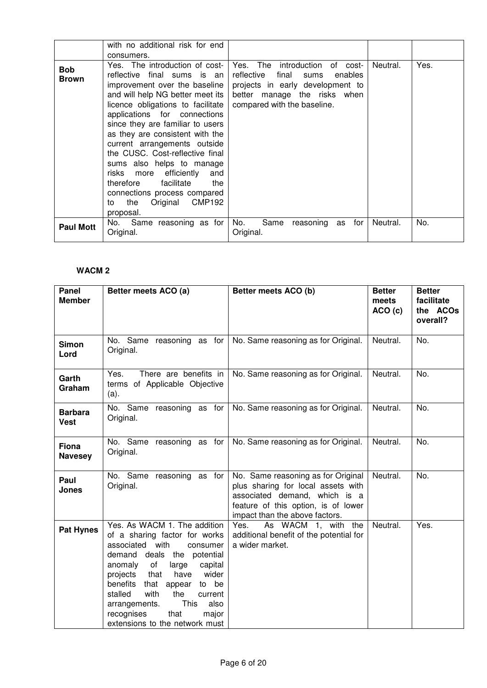|                            | with no additional risk for end                                                                                                                                                                                                                                                                                                                                                                                                                                                      |                                                                                                                                                                                |          |      |
|----------------------------|--------------------------------------------------------------------------------------------------------------------------------------------------------------------------------------------------------------------------------------------------------------------------------------------------------------------------------------------------------------------------------------------------------------------------------------------------------------------------------------|--------------------------------------------------------------------------------------------------------------------------------------------------------------------------------|----------|------|
|                            | consumers.                                                                                                                                                                                                                                                                                                                                                                                                                                                                           |                                                                                                                                                                                |          |      |
|                            |                                                                                                                                                                                                                                                                                                                                                                                                                                                                                      |                                                                                                                                                                                |          |      |
| <b>Bob</b><br><b>Brown</b> | Yes. The introduction of cost-<br>reflective final sums is an<br>improvement over the baseline<br>and will help NG better meet its<br>licence obligations to facilitate<br>applications for connections<br>since they are familiar to users<br>as they are consistent with the<br>current arrangements outside<br>the CUSC. Cost-reflective final<br>sums also helps to manage<br>more efficiently<br>risks<br>and<br>therefore<br>facilitate<br>the<br>connections process compared | Yes. The introduction<br>of cost-<br>reflective<br>final<br>sums<br>enables<br>projects in early development to<br>better manage the risks when<br>compared with the baseline. | Neutral. | Yes. |
|                            | CMP192<br>Original<br>the<br>to<br>proposal.                                                                                                                                                                                                                                                                                                                                                                                                                                         |                                                                                                                                                                                |          |      |
| <b>Paul Mott</b>           | No. Same reasoning as for<br>Original.                                                                                                                                                                                                                                                                                                                                                                                                                                               | No.<br>Same<br>for<br>reasoning<br>as<br>Original.                                                                                                                             | Neutral. | No.  |

| Panel<br><b>Member</b>         | Better meets ACO (a)                                                                                                                                                                                                                                                                                                                                                            | Better meets ACO (b)                                                                                                                                                               | <b>Better</b><br>meets<br>ACO(c) | <b>Better</b><br>facilitate<br>the ACOs<br>overall? |
|--------------------------------|---------------------------------------------------------------------------------------------------------------------------------------------------------------------------------------------------------------------------------------------------------------------------------------------------------------------------------------------------------------------------------|------------------------------------------------------------------------------------------------------------------------------------------------------------------------------------|----------------------------------|-----------------------------------------------------|
| <b>Simon</b><br>Lord           | No. Same reasoning as for<br>Original.                                                                                                                                                                                                                                                                                                                                          | No. Same reasoning as for Original.                                                                                                                                                | Neutral.                         | No.                                                 |
| Garth<br>Graham                | There are benefits in<br>Yes.<br>terms of Applicable Objective<br>(a).                                                                                                                                                                                                                                                                                                          | No. Same reasoning as for Original.                                                                                                                                                | Neutral.                         | No.                                                 |
| <b>Barbara</b><br><b>Vest</b>  | No. Same reasoning as for<br>Original.                                                                                                                                                                                                                                                                                                                                          | No. Same reasoning as for Original.                                                                                                                                                | Neutral.                         | No.                                                 |
| <b>Fiona</b><br><b>Navesey</b> | No. Same reasoning as for<br>Original.                                                                                                                                                                                                                                                                                                                                          | No. Same reasoning as for Original.                                                                                                                                                | Neutral.                         | No.                                                 |
| Paul<br><b>Jones</b>           | No. Same reasoning as for<br>Original.                                                                                                                                                                                                                                                                                                                                          | No. Same reasoning as for Original<br>plus sharing for local assets with<br>associated demand, which is a<br>feature of this option, is of lower<br>impact than the above factors. | Neutral.                         | No.                                                 |
| <b>Pat Hynes</b>               | Yes. As WACM 1. The addition<br>of a sharing factor for works<br>associated with<br>consumer<br>demand deals the potential<br>anomaly<br>of<br>large<br>capital<br>have<br>wider<br>projects<br>that<br>benefits<br>that appear<br>to be<br>with<br>stalled<br>the<br>current<br>This<br>also<br>arrangements.<br>recognises<br>that<br>major<br>extensions to the network must | As WACM 1, with the<br>Yes.<br>additional benefit of the potential for<br>a wider market.                                                                                          | Neutral.                         | Yes.                                                |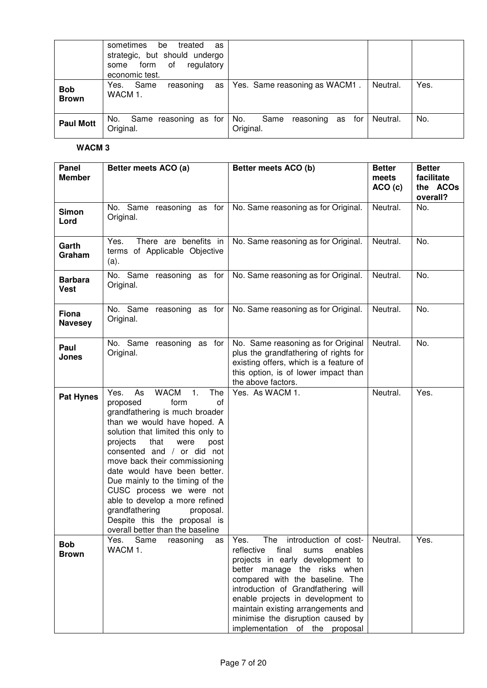|                            | sometimes<br>treated<br>be<br>as<br>strategic, but should undergo<br>of<br>form<br>regulatory<br>some<br>economic test. |                                                    |                  |
|----------------------------|-------------------------------------------------------------------------------------------------------------------------|----------------------------------------------------|------------------|
| <b>Bob</b><br><b>Brown</b> | Yes.<br>Same<br>as<br>reasoning<br>WACM 1.                                                                              | Yes. Same reasoning as WACM1.                      | Yes.<br>Neutral. |
| <b>Paul Mott</b>           | No. Same reasoning as for<br>Original.                                                                                  | No.<br>Same<br>for<br>reasoning<br>as<br>Original. | No.<br>Neutral.  |

| Panel<br><b>Member</b>        | Better meets ACO (a)                                                                                                                                                                                                                                                                                                                                                                                                                                                                                           | Better meets ACO (b)                                                                                                                                                                                                                                                                                                                                                        | <b>Better</b><br>meets<br>ACO (c) | <b>Better</b><br>facilitate<br>the ACOs<br>overall? |
|-------------------------------|----------------------------------------------------------------------------------------------------------------------------------------------------------------------------------------------------------------------------------------------------------------------------------------------------------------------------------------------------------------------------------------------------------------------------------------------------------------------------------------------------------------|-----------------------------------------------------------------------------------------------------------------------------------------------------------------------------------------------------------------------------------------------------------------------------------------------------------------------------------------------------------------------------|-----------------------------------|-----------------------------------------------------|
| <b>Simon</b><br>Lord          | No. Same reasoning as for<br>Original.                                                                                                                                                                                                                                                                                                                                                                                                                                                                         | No. Same reasoning as for Original.                                                                                                                                                                                                                                                                                                                                         | Neutral.                          | No.                                                 |
| Garth<br>Graham               | Yes.<br>There are benefits in<br>terms of Applicable Objective<br>(a).                                                                                                                                                                                                                                                                                                                                                                                                                                         | No. Same reasoning as for Original.                                                                                                                                                                                                                                                                                                                                         | Neutral.                          | No.                                                 |
| <b>Barbara</b><br><b>Vest</b> | No. Same reasoning as for<br>Original.                                                                                                                                                                                                                                                                                                                                                                                                                                                                         | No. Same reasoning as for Original.                                                                                                                                                                                                                                                                                                                                         | Neutral.                          | No.                                                 |
| Fiona<br><b>Navesey</b>       | No. Same reasoning as for<br>Original.                                                                                                                                                                                                                                                                                                                                                                                                                                                                         | No. Same reasoning as for Original.                                                                                                                                                                                                                                                                                                                                         | Neutral.                          | No.                                                 |
| Paul<br>Jones                 | No. Same reasoning as for<br>Original.                                                                                                                                                                                                                                                                                                                                                                                                                                                                         | No. Same reasoning as for Original<br>plus the grandfathering of rights for<br>existing offers, which is a feature of<br>this option, is of lower impact than<br>the above factors.                                                                                                                                                                                         | Neutral.                          | No.                                                 |
| <b>Pat Hynes</b>              | <b>WACM</b><br>1.<br>Yes.<br>As<br>The<br>form<br>proposed<br>of<br>grandfathering is much broader<br>than we would have hoped. A<br>solution that limited this only to<br>that<br>projects<br>were<br>post<br>consented and / or did not<br>move back their commissioning<br>date would have been better.<br>Due mainly to the timing of the<br>CUSC process we were not<br>able to develop a more refined<br>grandfathering<br>proposal.<br>Despite this the proposal is<br>overall better than the baseline | Yes. As WACM 1.                                                                                                                                                                                                                                                                                                                                                             | Neutral.                          | Yes.                                                |
| <b>Bob</b><br><b>Brown</b>    | Yes.<br>Same<br>reasoning<br>as<br>WACM 1.                                                                                                                                                                                                                                                                                                                                                                                                                                                                     | The introduction of cost-<br>Yes.<br>reflective<br>final<br>enables<br>sums<br>projects in early development to<br>better manage the risks when<br>compared with the baseline. The<br>introduction of Grandfathering will<br>enable projects in development to<br>maintain existing arrangements and<br>minimise the disruption caused by<br>implementation of the proposal | Neutral.                          | Yes.                                                |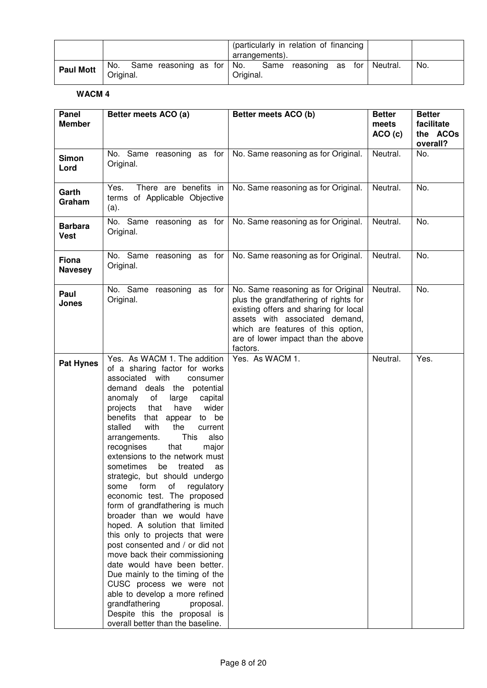|                  |           | (particularly in relation of financing  <br>arrangements).                |     |
|------------------|-----------|---------------------------------------------------------------------------|-----|
| <b>Paul Mott</b> | Original. | No. Same reasoning as for No. Same reasoning as for Neutral.<br>Original. | No. |

| Panel<br><b>Member</b>         | Better meets ACO (a)                                                                                                                                                                                                                                                                                                                                                                                                                                                                                                                                                                                                                                                                                                                                                                                                                                                                                                                                         | Better meets ACO (b)                                                                                                                                                                                                                           | <b>Better</b><br>meets | <b>Better</b><br>facilitate |
|--------------------------------|--------------------------------------------------------------------------------------------------------------------------------------------------------------------------------------------------------------------------------------------------------------------------------------------------------------------------------------------------------------------------------------------------------------------------------------------------------------------------------------------------------------------------------------------------------------------------------------------------------------------------------------------------------------------------------------------------------------------------------------------------------------------------------------------------------------------------------------------------------------------------------------------------------------------------------------------------------------|------------------------------------------------------------------------------------------------------------------------------------------------------------------------------------------------------------------------------------------------|------------------------|-----------------------------|
|                                |                                                                                                                                                                                                                                                                                                                                                                                                                                                                                                                                                                                                                                                                                                                                                                                                                                                                                                                                                              |                                                                                                                                                                                                                                                | ACO(c)                 | the ACOs<br>overall?        |
| <b>Simon</b><br>Lord           | No. Same reasoning as for<br>Original.                                                                                                                                                                                                                                                                                                                                                                                                                                                                                                                                                                                                                                                                                                                                                                                                                                                                                                                       | No. Same reasoning as for Original.                                                                                                                                                                                                            | Neutral.               | No.                         |
| Garth<br>Graham                | Yes.<br>There are benefits in<br>terms of Applicable Objective<br>(a).                                                                                                                                                                                                                                                                                                                                                                                                                                                                                                                                                                                                                                                                                                                                                                                                                                                                                       | No. Same reasoning as for Original.                                                                                                                                                                                                            | Neutral.               | No.                         |
| <b>Barbara</b><br><b>Vest</b>  | No. Same reasoning as for<br>Original.                                                                                                                                                                                                                                                                                                                                                                                                                                                                                                                                                                                                                                                                                                                                                                                                                                                                                                                       | No. Same reasoning as for Original.                                                                                                                                                                                                            | Neutral.               | No.                         |
| <b>Fiona</b><br><b>Navesey</b> | No. Same reasoning as for<br>Original.                                                                                                                                                                                                                                                                                                                                                                                                                                                                                                                                                                                                                                                                                                                                                                                                                                                                                                                       | No. Same reasoning as for Original.                                                                                                                                                                                                            | Neutral.               | No.                         |
| Paul<br>Jones                  | No. Same reasoning as for<br>Original.                                                                                                                                                                                                                                                                                                                                                                                                                                                                                                                                                                                                                                                                                                                                                                                                                                                                                                                       | No. Same reasoning as for Original<br>plus the grandfathering of rights for<br>existing offers and sharing for local<br>assets with associated demand,<br>which are features of this option,<br>are of lower impact than the above<br>factors. | Neutral.               | No.                         |
| <b>Pat Hynes</b>               | Yes. As WACM 1. The addition<br>of a sharing factor for works<br>associated with<br>consumer<br>demand deals the potential<br>anomaly of<br>large<br>capital<br>wider<br>projects that<br>have<br>benefits<br>that appear to be<br>with<br>the<br>stalled<br>current<br>This<br>also<br>arrangements.<br>recognises<br>that<br>major<br>extensions to the network must<br>sometimes<br>be<br>treated<br>as<br>strategic, but should undergo<br>some<br>form<br>of<br>regulatory<br>economic test. The proposed<br>form of grandfathering is much<br>broader than we would have<br>hoped. A solution that limited<br>this only to projects that were<br>post consented and / or did not<br>move back their commissioning<br>date would have been better.<br>Due mainly to the timing of the<br>CUSC process we were not<br>able to develop a more refined<br>grandfathering<br>proposal.<br>Despite this the proposal is<br>overall better than the baseline. | Yes. As WACM 1.                                                                                                                                                                                                                                | Neutral.               | Yes.                        |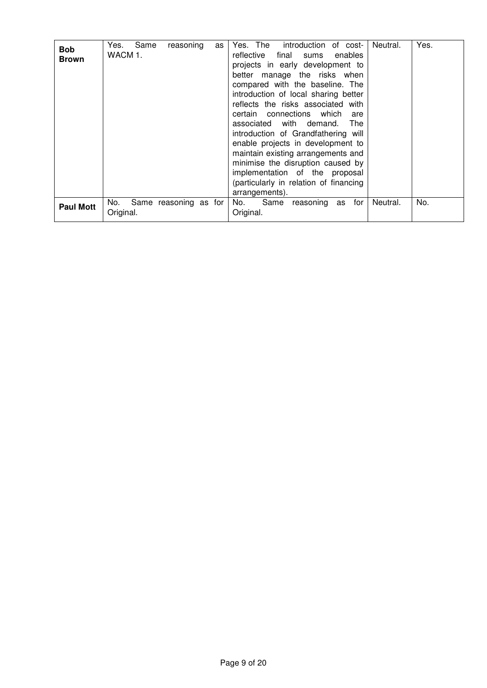| <b>Bob</b><br><b>Brown</b> | Yes.<br>Same<br>reasoning<br>as<br>WACM 1. | Yes. The<br>introduction of cost-<br>reflective<br>final<br>enables<br>sums<br>projects in early development to<br>better manage the risks when<br>compared with the baseline. The<br>introduction of local sharing better<br>reflects the risks associated with<br>certain connections which<br>are<br>associated with demand.<br>The<br>introduction of Grandfathering will<br>enable projects in development to<br>maintain existing arrangements and<br>minimise the disruption caused by<br>implementation of the proposal<br>(particularly in relation of financing<br>arrangements). | Yes.<br>Neutral. |
|----------------------------|--------------------------------------------|---------------------------------------------------------------------------------------------------------------------------------------------------------------------------------------------------------------------------------------------------------------------------------------------------------------------------------------------------------------------------------------------------------------------------------------------------------------------------------------------------------------------------------------------------------------------------------------------|------------------|
| <b>Paul Mott</b>           | Same reasoning as for<br>No.<br>Original.  | Same<br>for<br>No.<br>reasoning<br>as<br>Original.                                                                                                                                                                                                                                                                                                                                                                                                                                                                                                                                          | No.<br>Neutral.  |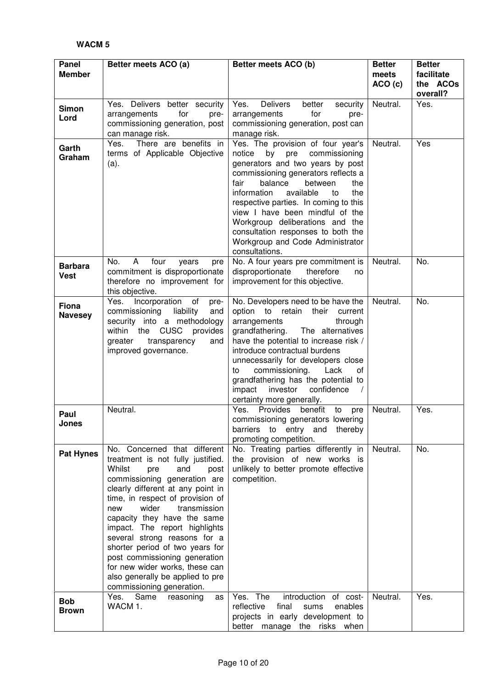| Panel<br><b>Member</b>         | Better meets ACO (a)                                                                                                                                                                                                                                                                                                                                                                                                                                                                                              | Better meets ACO (b)                                                                                                                                                                                                                                                                                                                                                                                                                    | <b>Better</b><br>meets<br>ACO (c) | <b>Better</b><br>facilitate<br>the ACOs |
|--------------------------------|-------------------------------------------------------------------------------------------------------------------------------------------------------------------------------------------------------------------------------------------------------------------------------------------------------------------------------------------------------------------------------------------------------------------------------------------------------------------------------------------------------------------|-----------------------------------------------------------------------------------------------------------------------------------------------------------------------------------------------------------------------------------------------------------------------------------------------------------------------------------------------------------------------------------------------------------------------------------------|-----------------------------------|-----------------------------------------|
| Simon<br>Lord                  | Yes. Delivers better security<br>for<br>arrangements<br>pre-<br>commissioning generation, post<br>can manage risk.                                                                                                                                                                                                                                                                                                                                                                                                | <b>Delivers</b><br>Yes.<br>better<br>security<br>for<br>arrangements<br>pre-<br>commissioning generation, post can<br>manage risk.                                                                                                                                                                                                                                                                                                      | Neutral.                          | overall?<br>Yes.                        |
| Garth<br>Graham                | There are benefits in<br>Yes.<br>terms of Applicable Objective<br>(a).                                                                                                                                                                                                                                                                                                                                                                                                                                            | Yes. The provision of four year's<br>by pre commissioning<br>notice<br>generators and two years by post<br>commissioning generators reflects a<br>fair<br>balance<br>between<br>the<br>information<br>available<br>the<br>to<br>respective parties. In coming to this<br>view I have been mindful of the<br>Workgroup deliberations and the<br>consultation responses to both the<br>Workgroup and Code Administrator<br>consultations. | Neutral.                          | Yes                                     |
| <b>Barbara</b><br><b>Vest</b>  | A<br>No.<br>four<br>years<br>pre<br>commitment is disproportionate<br>therefore no improvement for<br>this objective.                                                                                                                                                                                                                                                                                                                                                                                             | No. A four years pre commitment is<br>disproportionate<br>therefore<br>no<br>improvement for this objective.                                                                                                                                                                                                                                                                                                                            | Neutral.                          | No.                                     |
| <b>Fiona</b><br><b>Navesey</b> | Yes. Incorporation<br>of<br>pre-<br>commissioning<br>liability<br>and<br>security into a methodology<br>within the CUSC<br>provides<br>greater<br>transparency<br>and<br>improved governance.                                                                                                                                                                                                                                                                                                                     | No. Developers need to be have the<br>option to retain<br>their<br>current<br>arrangements<br>through<br>grandfathering.<br>The alternatives<br>have the potential to increase risk /<br>introduce contractual burdens<br>unnecessarily for developers close<br>commissioning.<br>Lack<br>of<br>to<br>grandfathering has the potential to<br>investor<br>confidence<br>impact<br>$\sqrt{2}$<br>certainty more generally.                | Neutral.                          | No.                                     |
| Paul<br>Jones                  | Neutral.                                                                                                                                                                                                                                                                                                                                                                                                                                                                                                          | Yes.<br>Provides<br>benefit<br>to<br>pre<br>commissioning generators lowering<br>barriers to entry and thereby<br>promoting competition.                                                                                                                                                                                                                                                                                                | Neutral.                          | Yes.                                    |
| <b>Pat Hynes</b>               | No. Concerned that different<br>treatment is not fully justified.<br>Whilst<br>pre<br>and<br>post<br>commissioning generation are<br>clearly different at any point in<br>time, in respect of provision of<br>wider<br>transmission<br>new<br>capacity they have the same<br>impact. The report highlights<br>several strong reasons for a<br>shorter period of two years for<br>post commissioning generation<br>for new wider works, these can<br>also generally be applied to pre<br>commissioning generation. | No. Treating parties differently in<br>the provision of new works is<br>unlikely to better promote effective<br>competition.                                                                                                                                                                                                                                                                                                            | Neutral.                          | No.                                     |
| <b>Bob</b><br><b>Brown</b>     | Yes. Same<br>reasoning<br>as<br>WACM 1.                                                                                                                                                                                                                                                                                                                                                                                                                                                                           | Yes. The<br>introduction of cost-<br>reflective<br>final<br>enables<br>sums<br>projects in early development to<br>better manage the risks when                                                                                                                                                                                                                                                                                         | Neutral.                          | Yes.                                    |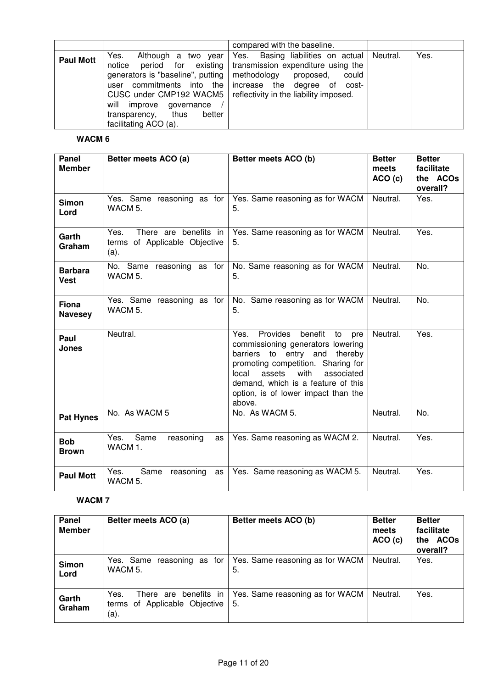|                  |                                                                                                                                                                        | compared with the baseline.                                                                                                                                                                                                                                    |      |
|------------------|------------------------------------------------------------------------------------------------------------------------------------------------------------------------|----------------------------------------------------------------------------------------------------------------------------------------------------------------------------------------------------------------------------------------------------------------|------|
| <b>Paul Mott</b> | Yes.<br>notice<br>generators is "baseline", putting  <br>user commitments into the<br>will improve governance<br>transparency, thus<br>better<br>facilitating ACO (a). | Although a two year Yes. Basing liabilities on actual Neutral.<br>period for existing transmission expenditure using the<br>methodology proposed,<br>could<br>increase the degree of cost-<br>CUSC under CMP192 WACM5   reflectivity in the liability imposed. | Yes. |

| Panel<br><b>Member</b>         | Better meets ACO (a)                                                   | Better meets ACO (b)                                                                                                                                                                                                                                                              | <b>Better</b><br>meets<br>ACO(c) | <b>Better</b><br>facilitate<br>the ACOs<br>overall? |
|--------------------------------|------------------------------------------------------------------------|-----------------------------------------------------------------------------------------------------------------------------------------------------------------------------------------------------------------------------------------------------------------------------------|----------------------------------|-----------------------------------------------------|
| <b>Simon</b><br>Lord           | Yes. Same reasoning as for<br>WACM 5.                                  | Yes. Same reasoning as for WACM<br>5.                                                                                                                                                                                                                                             | Neutral.                         | Yes.                                                |
| Garth<br>Graham                | There are benefits in<br>Yes.<br>terms of Applicable Objective<br>(a). | Yes. Same reasoning as for WACM<br>5.                                                                                                                                                                                                                                             | Neutral.                         | Yes.                                                |
| <b>Barbara</b><br>Vest         | No. Same reasoning as for<br>WACM 5.                                   | No. Same reasoning as for WACM<br>5.                                                                                                                                                                                                                                              | Neutral.                         | No.                                                 |
| <b>Fiona</b><br><b>Navesey</b> | Yes. Same reasoning as for<br>WACM 5.                                  | No. Same reasoning as for WACM<br>5.                                                                                                                                                                                                                                              | Neutral.                         | No.                                                 |
| Paul<br><b>Jones</b>           | Neutral.                                                               | benefit<br>Yes. Provides<br>to<br>pre<br>commissioning generators lowering<br>barriers to entry and thereby<br>promoting competition. Sharing for<br>assets<br>with<br>local<br>associated<br>demand, which is a feature of this<br>option, is of lower impact than the<br>above. | Neutral.                         | Yes.                                                |
| <b>Pat Hynes</b>               | No. As WACM 5                                                          | No. As WACM 5.                                                                                                                                                                                                                                                                    | Neutral.                         | No.                                                 |
| <b>Bob</b><br><b>Brown</b>     | Same<br>Yes.<br>reasoning<br>as<br>WACM 1.                             | Yes. Same reasoning as WACM 2.                                                                                                                                                                                                                                                    | Neutral.                         | Yes.                                                |
| <b>Paul Mott</b>               | Yes.<br>Same<br>reasoning<br>as<br>WACM <sub>5</sub> .                 | Yes. Same reasoning as WACM 5.                                                                                                                                                                                                                                                    | Neutral.                         | Yes.                                                |

| Panel<br><b>Member</b> | Better meets ACO (a)                                                   | Better meets ACO (b)                  | <b>Better</b><br>meets<br>ACO(c) | <b>Better</b><br>facilitate<br>the ACOs<br>overall? |
|------------------------|------------------------------------------------------------------------|---------------------------------------|----------------------------------|-----------------------------------------------------|
| <b>Simon</b><br>Lord   | Yes. Same reasoning as for<br>WACM 5.                                  | Yes. Same reasoning as for WACM<br>5. | Neutral.                         | Yes.                                                |
| Garth<br>Graham        | There are benefits in<br>Yes.<br>terms of Applicable Objective<br>(a). | Yes. Same reasoning as for WACM<br>5. | Neutral.                         | Yes.                                                |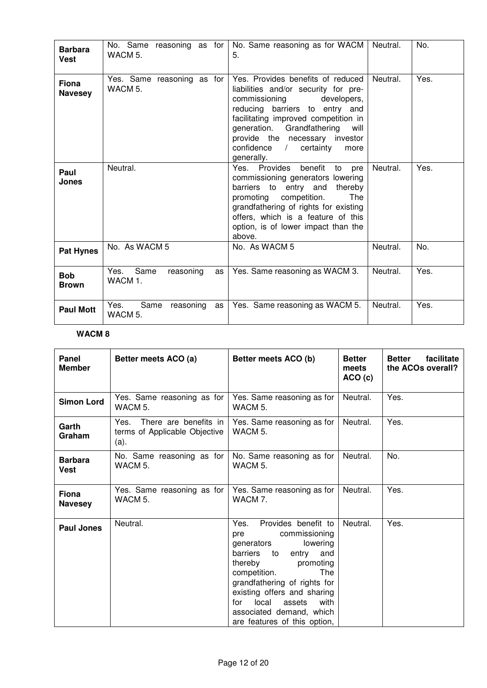| <b>Barbara</b><br><b>Vest</b>  | No. Same reasoning as for<br>WACM 5.       | No. Same reasoning as for WACM<br>5.                                                                                                                                                                                                                                                                           | Neutral. | No.  |
|--------------------------------|--------------------------------------------|----------------------------------------------------------------------------------------------------------------------------------------------------------------------------------------------------------------------------------------------------------------------------------------------------------------|----------|------|
| <b>Fiona</b><br><b>Navesey</b> | Yes. Same reasoning as for<br>WACM 5.      | Yes. Provides benefits of reduced<br>liabilities and/or security for pre-<br>commissioning<br>developers,<br>reducing barriers to entry and<br>facilitating improved competition in<br>generation. Grandfathering<br>will<br>provide the necessary investor<br>confidence /<br>certainty<br>more<br>generally. | Neutral. | Yes. |
| Paul<br><b>Jones</b>           | Neutral.                                   | Yes. Provides benefit<br>to<br>pre<br>commissioning generators lowering<br>barriers to entry and<br>thereby<br>promoting competition.<br><b>The</b><br>grandfathering of rights for existing<br>offers, which is a feature of this<br>option, is of lower impact than the<br>above.                            | Neutral. | Yes. |
| <b>Pat Hynes</b>               | No. As WACM 5                              | No. As WACM 5                                                                                                                                                                                                                                                                                                  | Neutral. | No.  |
| <b>Bob</b><br><b>Brown</b>     | Same<br>Yes.<br>reasoning<br>as<br>WACM 1. | Yes. Same reasoning as WACM 3.                                                                                                                                                                                                                                                                                 | Neutral. | Yes. |
| <b>Paul Mott</b>               | Yes.<br>Same<br>reasoning<br>as<br>WACM 5. | Yes. Same reasoning as WACM 5.                                                                                                                                                                                                                                                                                 | Neutral. | Yes. |

| Panel<br><b>Member</b>         | Better meets ACO (a)                                                | Better meets ACO (b)                                                                                                                                                                                                                                                                                                        | <b>Better</b><br>meets<br>ACO(c) | facilitate<br><b>Better</b><br>the ACOs overall? |
|--------------------------------|---------------------------------------------------------------------|-----------------------------------------------------------------------------------------------------------------------------------------------------------------------------------------------------------------------------------------------------------------------------------------------------------------------------|----------------------------------|--------------------------------------------------|
| <b>Simon Lord</b>              | Yes. Same reasoning as for<br>WACM 5.                               | Yes. Same reasoning as for<br>WACM 5.                                                                                                                                                                                                                                                                                       | Neutral.                         | Yes.                                             |
| Garth<br>Graham                | Yes. There are benefits in<br>terms of Applicable Objective<br>(a). | Yes. Same reasoning as for<br>WACM 5.                                                                                                                                                                                                                                                                                       | Neutral.                         | Yes.                                             |
| <b>Barbara</b><br><b>Vest</b>  | No. Same reasoning as for<br>WACM 5.                                | No. Same reasoning as for<br>WACM 5.                                                                                                                                                                                                                                                                                        | Neutral.                         | No.                                              |
| <b>Fiona</b><br><b>Navesey</b> | Yes. Same reasoning as for<br>WACM 5.                               | Yes. Same reasoning as for<br>WACM 7.                                                                                                                                                                                                                                                                                       | Neutral.                         | Yes.                                             |
| <b>Paul Jones</b>              | Neutral.                                                            | Provides benefit to<br>Yes.<br>commissioning<br>pre<br>lowering<br>generators<br>barriers<br>to<br>entry<br>and<br>thereby<br>promoting<br>competition.<br>The<br>grandfathering of rights for<br>existing offers and sharing<br>local<br>for<br>assets<br>with<br>associated demand, which<br>are features of this option, | Neutral.                         | Yes.                                             |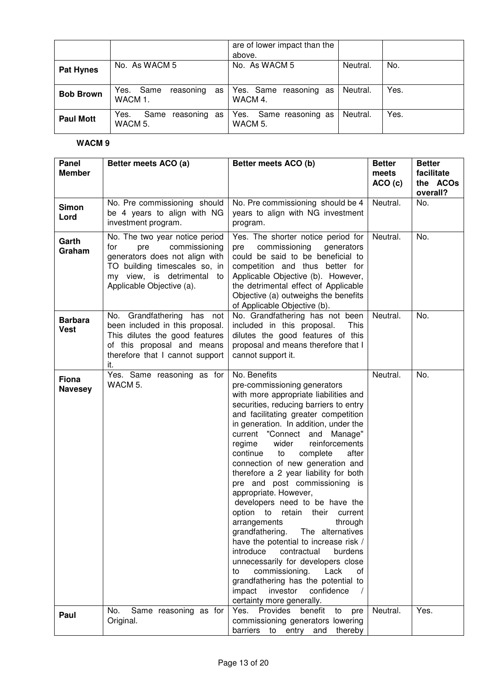|                  |                                         | are of lower impact than the<br>above. |          |      |
|------------------|-----------------------------------------|----------------------------------------|----------|------|
| <b>Pat Hynes</b> | No. As WACM 5                           | No. As WACM 5                          | Neutral. | No.  |
| <b>Bob Brown</b> | Yes. Same<br>reasoning<br>as<br>WACM 1. | Yes. Same reasoning as<br>WACM 4.      | Neutral. | Yes. |
| <b>Paul Mott</b> | Yes.<br>Same<br>reasoning as<br>WACM 5. | Yes. Same reasoning as<br>WACM 5.      | Neutral. | Yes. |

| Panel<br><b>Member</b>         | Better meets ACO (a)                                                                                                                                                                        | Better meets ACO (b)                                                                                                                                                                                                                                                                                                                                                                                                                                                                                                                                                                                                                                                                                                                                                                                                                                                                        | <b>Better</b><br>meets<br>ACO(c) | <b>Better</b><br>facilitate<br>the ACOs<br>overall? |
|--------------------------------|---------------------------------------------------------------------------------------------------------------------------------------------------------------------------------------------|---------------------------------------------------------------------------------------------------------------------------------------------------------------------------------------------------------------------------------------------------------------------------------------------------------------------------------------------------------------------------------------------------------------------------------------------------------------------------------------------------------------------------------------------------------------------------------------------------------------------------------------------------------------------------------------------------------------------------------------------------------------------------------------------------------------------------------------------------------------------------------------------|----------------------------------|-----------------------------------------------------|
| <b>Simon</b><br>Lord           | No. Pre commissioning should<br>be 4 years to align with NG<br>investment program.                                                                                                          | No. Pre commissioning should be 4<br>years to align with NG investment<br>program.                                                                                                                                                                                                                                                                                                                                                                                                                                                                                                                                                                                                                                                                                                                                                                                                          | Neutral.                         | No.                                                 |
| Garth<br>Graham                | No. The two year notice period<br>for<br>commissioning<br>pre<br>generators does not align with<br>TO building timescales so, in<br>my view, is detrimental to<br>Applicable Objective (a). | Yes. The shorter notice period for<br>commissioning<br>pre<br>generators<br>could be said to be beneficial to<br>competition and thus better for<br>Applicable Objective (b). However,<br>the detrimental effect of Applicable<br>Objective (a) outweighs the benefits<br>of Applicable Objective (b).                                                                                                                                                                                                                                                                                                                                                                                                                                                                                                                                                                                      | Neutral.                         | No.                                                 |
| <b>Barbara</b><br><b>Vest</b>  | No. Grandfathering has not<br>been included in this proposal.<br>This dilutes the good features<br>of this proposal and means<br>therefore that I cannot support<br>it.                     | No. Grandfathering has not been<br>included in this proposal.<br>This<br>dilutes the good features of this<br>proposal and means therefore that I<br>cannot support it.                                                                                                                                                                                                                                                                                                                                                                                                                                                                                                                                                                                                                                                                                                                     | Neutral.                         | No.                                                 |
| <b>Fiona</b><br><b>Navesey</b> | Yes. Same reasoning as for<br>WACM 5.                                                                                                                                                       | No. Benefits<br>pre-commissioning generators<br>with more appropriate liabilities and<br>securities, reducing barriers to entry<br>and facilitating greater competition<br>in generation. In addition, under the<br>current "Connect and Manage"<br>wider<br>reinforcements<br>regime<br>complete<br>continue<br>to<br>after<br>connection of new generation and<br>therefore a 2 year liability for both<br>pre and post commissioning is<br>appropriate. However,<br>developers need to be have the<br>option to retain their current<br>arrangements<br>through<br>grandfathering.<br>The alternatives<br>have the potential to increase risk /<br>introduce<br>contractual<br>burdens<br>unnecessarily for developers close<br>commissioning.<br>Lack<br>to<br>0f<br>grandfathering has the potential to<br>impact<br>investor<br>confidence<br>$\sqrt{ }$<br>certainty more generally. | Neutral.                         | No.                                                 |
| Paul                           | No.<br>Same reasoning as for<br>Original.                                                                                                                                                   | Provides<br>Yes.<br>benefit<br>to<br>pre<br>commissioning generators lowering<br>barriers to entry and<br>thereby                                                                                                                                                                                                                                                                                                                                                                                                                                                                                                                                                                                                                                                                                                                                                                           | Neutral.                         | Yes.                                                |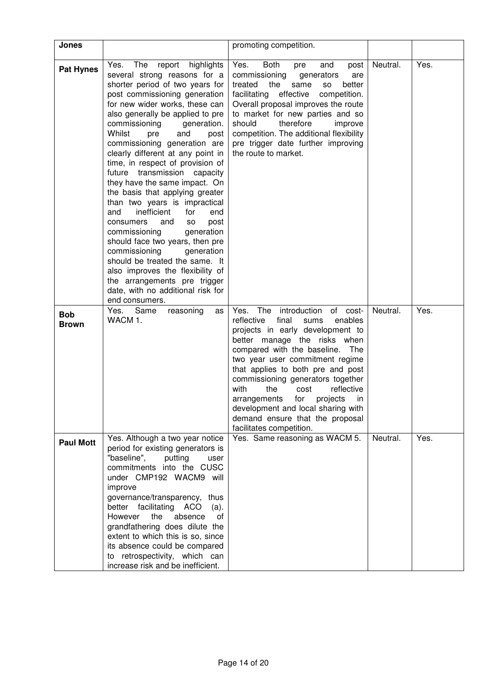| Jones                      |                                                                                                                                                                                                                                                                                                                                                                                                                                                                                                                                                                                                                                                                                                                                                                                                                                                                     | promoting competition.                                                                                                                                                                                                                                                                                                                                                                                                                                                                      |          |      |
|----------------------------|---------------------------------------------------------------------------------------------------------------------------------------------------------------------------------------------------------------------------------------------------------------------------------------------------------------------------------------------------------------------------------------------------------------------------------------------------------------------------------------------------------------------------------------------------------------------------------------------------------------------------------------------------------------------------------------------------------------------------------------------------------------------------------------------------------------------------------------------------------------------|---------------------------------------------------------------------------------------------------------------------------------------------------------------------------------------------------------------------------------------------------------------------------------------------------------------------------------------------------------------------------------------------------------------------------------------------------------------------------------------------|----------|------|
| <b>Pat Hynes</b>           | report highlights<br>The<br>Yes.<br>several strong reasons for a<br>shorter period of two years for<br>post commissioning generation<br>for new wider works, these can<br>also generally be applied to pre<br>commissioning<br>generation.<br>Whilst<br>and<br>pre<br>post<br>commissioning generation are<br>clearly different at any point in<br>time, in respect of provision of<br>future transmission capacity<br>they have the same impact. On<br>the basis that applying greater<br>than two years is impractical<br>inefficient<br>for<br>and<br>end<br>and<br>post<br>consumers<br><b>SO</b><br>commissioning<br>generation<br>should face two years, then pre<br>commissioning<br>generation<br>should be treated the same. It<br>also improves the flexibility of<br>the arrangements pre trigger<br>date, with no additional risk for<br>end consumers. | Yes.<br>Both<br>and<br>post<br>pre<br>commissioning<br>generators<br>are<br>the<br>treated<br>same<br>better<br><b>SO</b><br>facilitating effective<br>competition.<br>Overall proposal improves the route<br>to market for new parties and so<br>therefore<br>should<br>improve<br>competition. The additional flexibility<br>pre trigger date further improving<br>the route to market.                                                                                                   | Neutral. | Yes. |
| <b>Bob</b><br><b>Brown</b> | Same<br>Yes.<br>reasoning<br>as<br>WACM 1.                                                                                                                                                                                                                                                                                                                                                                                                                                                                                                                                                                                                                                                                                                                                                                                                                          | The<br>introduction<br>of cost-<br>Yes.<br>reflective<br>final<br>sums<br>enables<br>projects in early development to<br>better manage the risks when<br>compared with the baseline.<br>The<br>two year user commitment regime<br>that applies to both pre and post<br>commissioning generators together<br>with<br>the<br>cost<br>reflective<br>for<br>projects<br>in<br>arrangements<br>development and local sharing with<br>demand ensure that the proposal<br>facilitates competition. | Neutral. | Yes. |
| <b>Paul Mott</b>           | Yes. Although a two year notice<br>period for existing generators is<br>"baseline",<br>putting<br>user<br>commitments into the CUSC<br>under CMP192 WACM9 will<br>improve<br>governance/transparency, thus<br>better facilitating ACO<br>(a).<br>absence<br>of<br>However<br>the<br>grandfathering does dilute the<br>extent to which this is so, since<br>its absence could be compared<br>to retrospectivity, which can<br>increase risk and be inefficient.                                                                                                                                                                                                                                                                                                                                                                                                      | Yes. Same reasoning as WACM 5.                                                                                                                                                                                                                                                                                                                                                                                                                                                              | Neutral. | Yes. |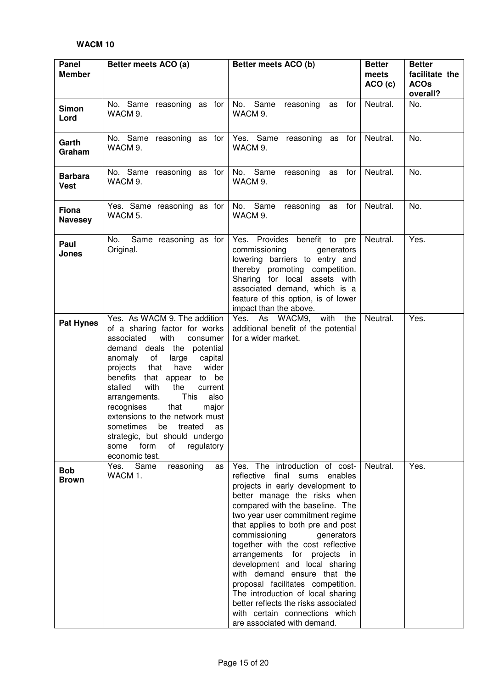| Panel<br><b>Member</b>        | Better meets ACO (a)                                                                                                                                                                                                                                                                                                                                                                                                                                                                                       | Better meets ACO (b)                                                                                                                                                                                                                                                                                                                                                                                                                                                                                                                                                                                              | <b>Better</b><br>meets<br>ACO(c) | <b>Better</b><br>facilitate the<br><b>ACOs</b><br>overall? |
|-------------------------------|------------------------------------------------------------------------------------------------------------------------------------------------------------------------------------------------------------------------------------------------------------------------------------------------------------------------------------------------------------------------------------------------------------------------------------------------------------------------------------------------------------|-------------------------------------------------------------------------------------------------------------------------------------------------------------------------------------------------------------------------------------------------------------------------------------------------------------------------------------------------------------------------------------------------------------------------------------------------------------------------------------------------------------------------------------------------------------------------------------------------------------------|----------------------------------|------------------------------------------------------------|
| <b>Simon</b><br>Lord          | No. Same reasoning as for<br>WACM 9.                                                                                                                                                                                                                                                                                                                                                                                                                                                                       | No. Same<br>reasoning<br>for<br>as<br>WACM 9.                                                                                                                                                                                                                                                                                                                                                                                                                                                                                                                                                                     | Neutral.                         | No.                                                        |
| Garth<br>Graham               | No. Same reasoning as for<br>WACM 9.                                                                                                                                                                                                                                                                                                                                                                                                                                                                       | Yes. Same reasoning as for<br>WACM 9.                                                                                                                                                                                                                                                                                                                                                                                                                                                                                                                                                                             | Neutral.                         | No.                                                        |
| <b>Barbara</b><br><b>Vest</b> | No. Same reasoning as for<br>WACM 9.                                                                                                                                                                                                                                                                                                                                                                                                                                                                       | No. Same<br>as for<br>reasoning<br>WACM 9.                                                                                                                                                                                                                                                                                                                                                                                                                                                                                                                                                                        | Neutral.                         | No.                                                        |
| Fiona<br><b>Navesey</b>       | Yes. Same reasoning as for<br>WACM 5.                                                                                                                                                                                                                                                                                                                                                                                                                                                                      | No. Same<br>as for<br>reasoning<br>WACM 9.                                                                                                                                                                                                                                                                                                                                                                                                                                                                                                                                                                        | Neutral.                         | No.                                                        |
| Paul<br><b>Jones</b>          | Same reasoning as for<br>No.<br>Original.                                                                                                                                                                                                                                                                                                                                                                                                                                                                  | Yes. Provides benefit to pre<br>commissioning<br>generators<br>lowering barriers to entry and<br>thereby promoting competition.<br>Sharing for local assets with<br>associated demand, which is a<br>feature of this option, is of lower<br>impact than the above.                                                                                                                                                                                                                                                                                                                                                | Neutral.                         | Yes.                                                       |
| <b>Pat Hynes</b>              | Yes. As WACM 9. The addition<br>of a sharing factor for works<br>with<br>associated<br>consumer<br>demand deals the potential<br>anomaly of<br>large<br>capital<br>that<br>have<br>wider<br>projects<br>benefits<br>that appear<br>to be<br>stalled<br>with<br>the<br>current<br>This<br>also<br>arrangements.<br>that<br>major<br>recognises<br>extensions to the network must<br>sometimes<br>treated<br>be<br>as<br>strategic, but should undergo<br>form<br>of<br>regulatory<br>some<br>economic test. | Yes. As WACM9, with<br>the<br>additional benefit of the potential<br>for a wider market.                                                                                                                                                                                                                                                                                                                                                                                                                                                                                                                          | Neutral.                         | Yes.                                                       |
| <b>Bob</b><br><b>Brown</b>    | Same<br>reasoning<br>Yes.<br>as<br>WACM 1.                                                                                                                                                                                                                                                                                                                                                                                                                                                                 | Yes. The introduction of cost-<br>enables<br>reflective<br>final<br>sums<br>projects in early development to<br>better manage the risks when<br>compared with the baseline. The<br>two year user commitment regime<br>that applies to both pre and post<br>commissioning<br>generators<br>together with the cost reflective<br>arrangements for projects<br>in<br>development and local sharing<br>with demand ensure that the<br>proposal facilitates competition.<br>The introduction of local sharing<br>better reflects the risks associated<br>with certain connections which<br>are associated with demand. | Neutral.                         | Yes.                                                       |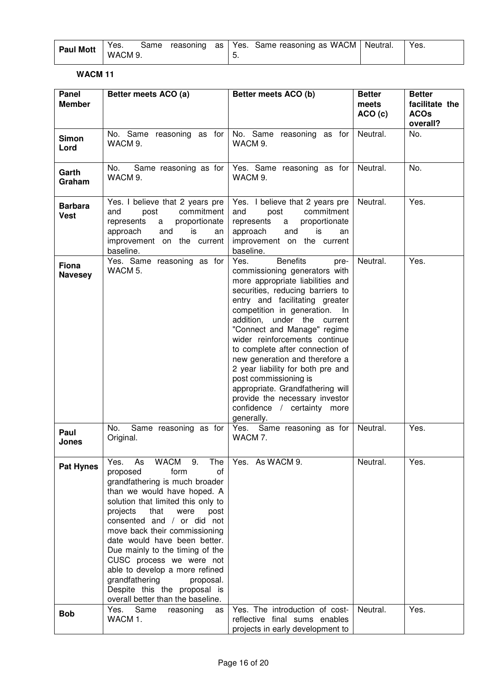| <b>Paul Mott</b> | Yes.    |  |  | Same reasoning as   Yes. Same reasoning as WACM   Neutral. | Yes. |
|------------------|---------|--|--|------------------------------------------------------------|------|
|                  | WACM 9. |  |  |                                                            |      |

| Panel<br><b>Member</b>        | Better meets ACO (a)                                                                                                                                                                                                                                                                                                                                                                                                                                                                                            | Better meets ACO (b)                                                                                                                                                                                                                                                                                                                                                                                                                                                                                                                                                 | <b>Better</b><br>meets<br>ACO(c) | <b>Better</b><br>facilitate the<br><b>ACOs</b><br>overall? |
|-------------------------------|-----------------------------------------------------------------------------------------------------------------------------------------------------------------------------------------------------------------------------------------------------------------------------------------------------------------------------------------------------------------------------------------------------------------------------------------------------------------------------------------------------------------|----------------------------------------------------------------------------------------------------------------------------------------------------------------------------------------------------------------------------------------------------------------------------------------------------------------------------------------------------------------------------------------------------------------------------------------------------------------------------------------------------------------------------------------------------------------------|----------------------------------|------------------------------------------------------------|
| <b>Simon</b><br>Lord          | No. Same reasoning as for<br>WACM 9.                                                                                                                                                                                                                                                                                                                                                                                                                                                                            | No. Same reasoning as for<br>WACM 9.                                                                                                                                                                                                                                                                                                                                                                                                                                                                                                                                 | Neutral.                         | No.                                                        |
| Garth<br>Graham               | Same reasoning as for<br>No.<br>WACM 9.                                                                                                                                                                                                                                                                                                                                                                                                                                                                         | Yes. Same reasoning as for<br>WACM 9.                                                                                                                                                                                                                                                                                                                                                                                                                                                                                                                                | Neutral.                         | No.                                                        |
| <b>Barbara</b><br><b>Vest</b> | Yes. I believe that 2 years pre<br>commitment<br>post<br>and<br>represents<br>proportionate<br>a<br>and<br>is<br>approach<br>an<br>improvement on the current<br>baseline.                                                                                                                                                                                                                                                                                                                                      | Yes. I believe that 2 years pre<br>commitment<br>and<br>post<br>represents<br>proportionate<br>a<br>and<br>is<br>approach<br>an<br>improvement on the current<br>baseline.                                                                                                                                                                                                                                                                                                                                                                                           | Neutral.                         | Yes.                                                       |
| Fiona<br><b>Navesey</b>       | Yes. Same reasoning as for<br>WACM 5.                                                                                                                                                                                                                                                                                                                                                                                                                                                                           | <b>Benefits</b><br>Yes.<br>pre-<br>commissioning generators with<br>more appropriate liabilities and<br>securities, reducing barriers to<br>entry and facilitating greater<br>competition in generation.<br>In.<br>addition, under the current<br>"Connect and Manage" regime<br>wider reinforcements continue<br>to complete after connection of<br>new generation and therefore a<br>2 year liability for both pre and<br>post commissioning is<br>appropriate. Grandfathering will<br>provide the necessary investor<br>confidence / certainty more<br>generally. | Neutral.                         | Yes.                                                       |
| Paul<br><b>Jones</b>          | No.<br>Same reasoning as for<br>Original.                                                                                                                                                                                                                                                                                                                                                                                                                                                                       | Yes. Same reasoning as for<br>WACM 7.                                                                                                                                                                                                                                                                                                                                                                                                                                                                                                                                | Neutral.                         | Yes.                                                       |
| <b>Pat Hynes</b>              | As<br><b>WACM</b><br>9.<br>The<br>Yes.<br>proposed<br>form<br>οf<br>grandfathering is much broader<br>than we would have hoped. A<br>solution that limited this only to<br>projects<br>that<br>post<br>were<br>consented and / or did not<br>move back their commissioning<br>date would have been better.<br>Due mainly to the timing of the<br>CUSC process we were not<br>able to develop a more refined<br>grandfathering<br>proposal.<br>Despite this the proposal is<br>overall better than the baseline. | Yes. As WACM 9.                                                                                                                                                                                                                                                                                                                                                                                                                                                                                                                                                      | Neutral.                         | Yes.                                                       |
| <b>Bob</b>                    | Same<br>Yes.<br>reasoning<br>as<br>WACM 1.                                                                                                                                                                                                                                                                                                                                                                                                                                                                      | Yes. The introduction of cost-<br>reflective final sums enables<br>projects in early development to                                                                                                                                                                                                                                                                                                                                                                                                                                                                  | Neutral.                         | Yes.                                                       |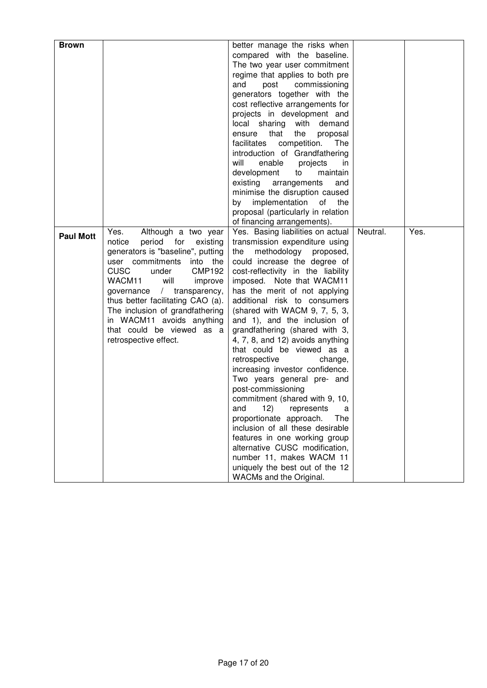| <b>Brown</b>     |                                       | better manage the risks when       |          |      |
|------------------|---------------------------------------|------------------------------------|----------|------|
|                  |                                       |                                    |          |      |
|                  |                                       | compared with the baseline.        |          |      |
|                  |                                       | The two year user commitment       |          |      |
|                  |                                       | regime that applies to both pre    |          |      |
|                  |                                       | and<br>commissioning<br>post       |          |      |
|                  |                                       | generators together with the       |          |      |
|                  |                                       | cost reflective arrangements for   |          |      |
|                  |                                       | projects in development and        |          |      |
|                  |                                       | with demand                        |          |      |
|                  |                                       | local sharing                      |          |      |
|                  |                                       | that<br>the<br>proposal<br>ensure  |          |      |
|                  |                                       | competition.<br>facilitates<br>The |          |      |
|                  |                                       | introduction of Grandfathering     |          |      |
|                  |                                       | will<br>enable<br>projects<br>in   |          |      |
|                  |                                       | development<br>to<br>maintain      |          |      |
|                  |                                       | existing<br>arrangements<br>and    |          |      |
|                  |                                       | minimise the disruption caused     |          |      |
|                  |                                       | by implementation<br>of<br>the     |          |      |
|                  |                                       | proposal (particularly in relation |          |      |
|                  |                                       | of financing arrangements).        |          |      |
|                  |                                       |                                    |          |      |
| <b>Paul Mott</b> | Although a two year<br>Yes.           | Yes. Basing liabilities on actual  | Neutral. | Yes. |
|                  | notice<br>period for<br>existing      | transmission expenditure using     |          |      |
|                  | generators is "baseline", putting     | methodology proposed,<br>the       |          |      |
|                  | user commitments into the             | could increase the degree of       |          |      |
|                  | <b>CUSC</b><br><b>CMP192</b><br>under | cost-reflectivity in the liability |          |      |
|                  | will<br>WACM11<br>improve             | imposed. Note that WACM11          |          |      |
|                  | governance / transparency,            | has the merit of not applying      |          |      |
|                  | thus better facilitating CAO (a).     | additional risk to consumers       |          |      |
|                  | The inclusion of grandfathering       | (shared with WACM $9, 7, 5, 3$ ,   |          |      |
|                  | in WACM11 avoids anything             | and 1), and the inclusion of       |          |      |
|                  | that could be viewed as a             | grandfathering (shared with 3,     |          |      |
|                  | retrospective effect.                 | 4, 7, 8, and 12) avoids anything   |          |      |
|                  |                                       | that could be viewed as a          |          |      |
|                  |                                       | retrospective<br>change,           |          |      |
|                  |                                       |                                    |          |      |
|                  |                                       | increasing investor confidence.    |          |      |
|                  |                                       | Two years general pre- and         |          |      |
|                  |                                       | post-commissioning                 |          |      |
|                  |                                       | commitment (shared with 9, 10,     |          |      |
|                  |                                       | 12)<br>and<br>represents<br>a      |          |      |
|                  |                                       | proportionate approach.<br>The     |          |      |
|                  |                                       | inclusion of all these desirable   |          |      |
|                  |                                       | features in one working group      |          |      |
|                  |                                       | alternative CUSC modification,     |          |      |
|                  |                                       | number 11, makes WACM 11           |          |      |
|                  |                                       | uniquely the best out of the 12    |          |      |
|                  |                                       | WACMs and the Original.            |          |      |
|                  |                                       |                                    |          |      |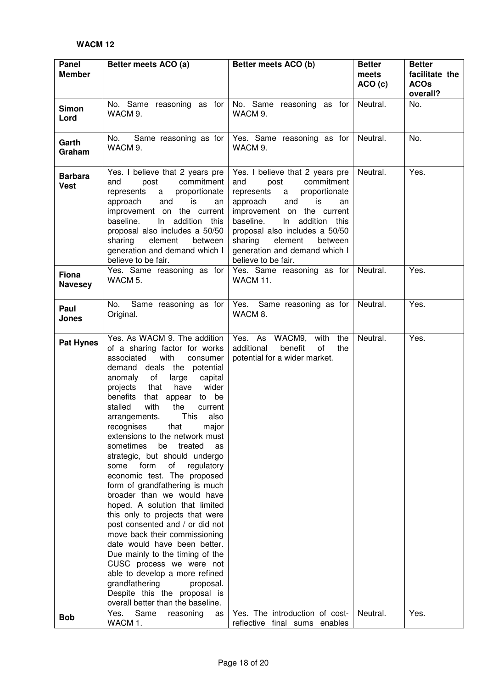| Panel<br><b>Member</b>        | Better meets ACO (a)                                                                                                                                                                                                                                                                                                                                                                                                                                                                                                                                                                                                                                                                                                                                                                                                                                                                                                                                                                                     | Better meets ACO (b)                                                                                                                                                                                                                                                                                                      | <b>Better</b><br>meets<br>ACO (c) | <b>Better</b><br>facilitate the<br><b>ACOs</b><br>overall? |
|-------------------------------|----------------------------------------------------------------------------------------------------------------------------------------------------------------------------------------------------------------------------------------------------------------------------------------------------------------------------------------------------------------------------------------------------------------------------------------------------------------------------------------------------------------------------------------------------------------------------------------------------------------------------------------------------------------------------------------------------------------------------------------------------------------------------------------------------------------------------------------------------------------------------------------------------------------------------------------------------------------------------------------------------------|---------------------------------------------------------------------------------------------------------------------------------------------------------------------------------------------------------------------------------------------------------------------------------------------------------------------------|-----------------------------------|------------------------------------------------------------|
| <b>Simon</b><br>Lord          | No. Same reasoning as for No. Same reasoning as for<br>WACM 9.                                                                                                                                                                                                                                                                                                                                                                                                                                                                                                                                                                                                                                                                                                                                                                                                                                                                                                                                           | WACM 9.                                                                                                                                                                                                                                                                                                                   | Neutral.                          | No.                                                        |
| Garth<br>Graham               | No.<br>WACM 9.                                                                                                                                                                                                                                                                                                                                                                                                                                                                                                                                                                                                                                                                                                                                                                                                                                                                                                                                                                                           | Same reasoning as for   Yes. Same reasoning as for<br>WACM 9.                                                                                                                                                                                                                                                             | Neutral.                          | No.                                                        |
| <b>Barbara</b><br><b>Vest</b> | Yes. I believe that 2 years pre<br>commitment<br>post<br>and<br>proportionate<br>represents<br>a<br>and<br>approach<br>is<br>an<br>improvement on the current<br>baseline.<br>$\ln$<br>addition this<br>proposal also includes a 50/50<br>sharing<br>element<br>between<br>generation and demand which I<br>believe to be fair.                                                                                                                                                                                                                                                                                                                                                                                                                                                                                                                                                                                                                                                                          | Yes. I believe that 2 years pre<br>commitment<br>and<br>post<br>proportionate<br>represents<br>a<br>approach<br>and<br>is<br>an<br>improvement on the current<br>baseline.<br>In addition this<br>proposal also includes a 50/50<br>sharing<br>element<br>between<br>generation and demand which I<br>believe to be fair. | Neutral.                          | Yes.                                                       |
| Fiona<br><b>Navesey</b>       | Yes. Same reasoning as for<br>WACM 5.                                                                                                                                                                                                                                                                                                                                                                                                                                                                                                                                                                                                                                                                                                                                                                                                                                                                                                                                                                    | Yes. Same reasoning as for<br><b>WACM 11.</b>                                                                                                                                                                                                                                                                             | Neutral.                          | Yes.                                                       |
| Paul<br>Jones                 | No.<br>Same reasoning as for<br>Original.                                                                                                                                                                                                                                                                                                                                                                                                                                                                                                                                                                                                                                                                                                                                                                                                                                                                                                                                                                | Yes. Same reasoning as for<br>WACM 8.                                                                                                                                                                                                                                                                                     | Neutral.                          | Yes.                                                       |
| <b>Pat Hynes</b>              | Yes. As WACM 9. The addition<br>of a sharing factor for works<br>with<br>associated<br>consumer<br>demand deals the potential<br>anomaly of<br>large<br>capital<br>have<br>wider<br>projects<br>that<br>benefits<br>that appear<br>to be<br>stalled<br>with<br>the<br>current<br>This<br>arrangements.<br>also<br>recognises<br>that<br>major<br>extensions to the network must<br>sometimes<br>be<br>treated<br>as<br>strategic, but should undergo<br>form<br>of<br>regulatory<br>some<br>economic test. The proposed<br>form of grandfathering is much<br>broader than we would have<br>hoped. A solution that limited<br>this only to projects that were<br>post consented and / or did not<br>move back their commissioning<br>date would have been better.<br>Due mainly to the timing of the<br>CUSC process we were not<br>able to develop a more refined<br>grandfathering<br>proposal.<br>Despite this the proposal is<br>overall better than the baseline.<br>Same<br>Yes.<br>reasoning<br>as | Yes. As WACM9, with<br>the<br>additional<br>benefit<br>of<br>the<br>potential for a wider market.<br>Yes. The introduction of cost-                                                                                                                                                                                       | Neutral.<br>Neutral.              | Yes.<br>Yes.                                               |
| <b>Bob</b>                    | WACM 1.                                                                                                                                                                                                                                                                                                                                                                                                                                                                                                                                                                                                                                                                                                                                                                                                                                                                                                                                                                                                  | reflective final sums enables                                                                                                                                                                                                                                                                                             |                                   |                                                            |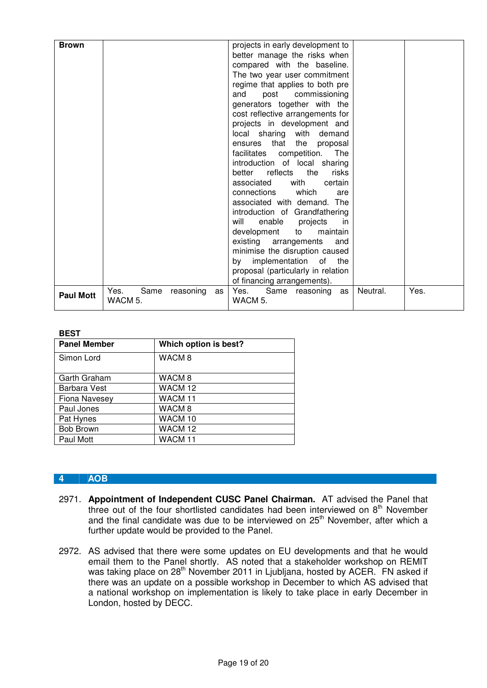| <b>Brown</b>     |                                            | projects in early development to<br>better manage the risks when<br>compared with the baseline.<br>The two year user commitment<br>regime that applies to both pre<br>and<br>post<br>commissioning<br>generators together with the<br>cost reflective arrangements for<br>projects in development and<br>local sharing with demand<br>the proposal<br>that<br>ensures<br>facilitates competition. The<br>introduction of local sharing<br>reflects the<br>better<br>risks<br>with<br>associated<br>certain<br>which<br>connections<br>are<br>associated with demand. The<br>introduction of Grandfathering<br>enable<br>projects<br>will<br>in.<br>development<br>maintain<br>to<br>existing arrangements<br>and<br>minimise the disruption caused<br>by implementation of the<br>proposal (particularly in relation<br>of financing arrangements). |          |      |
|------------------|--------------------------------------------|-----------------------------------------------------------------------------------------------------------------------------------------------------------------------------------------------------------------------------------------------------------------------------------------------------------------------------------------------------------------------------------------------------------------------------------------------------------------------------------------------------------------------------------------------------------------------------------------------------------------------------------------------------------------------------------------------------------------------------------------------------------------------------------------------------------------------------------------------------|----------|------|
| <b>Paul Mott</b> | Yes.<br>Same<br>reasoning<br>as<br>WACM 5. | Same reasoning as<br>Yes. The results of the results of the results of the results of the results of the results of the results of the results in the results of the results of the results in the results in the result of the result of the resul<br>WACM 5.                                                                                                                                                                                                                                                                                                                                                                                                                                                                                                                                                                                      | Neutral. | Yes. |

### **BEST**

| <b>Panel Member</b> | Which option is best? |  |
|---------------------|-----------------------|--|
| Simon Lord          | WACM <sub>8</sub>     |  |
| Garth Graham        | WACM 8                |  |
| Barbara Vest        | WACM 12               |  |
| Fiona Navesey       | WACM <sub>11</sub>    |  |
| Paul Jones          | WACM <sub>8</sub>     |  |
| Pat Hynes           | WACM <sub>10</sub>    |  |
| <b>Bob Brown</b>    | WACM <sub>12</sub>    |  |
| Paul Mott           | WACM <sub>11</sub>    |  |

#### **4 AOB**

- 2971. **Appointment of Independent CUSC Panel Chairman.** AT advised the Panel that three out of the four shortlisted candidates had been interviewed on 8<sup>th</sup> November and the final candidate was due to be interviewed on 25<sup>th</sup> November, after which a further update would be provided to the Panel.
- 2972. AS advised that there were some updates on EU developments and that he would email them to the Panel shortly. AS noted that a stakeholder workshop on REMIT was taking place on 28<sup>th</sup> November 2011 in Ljubljana, hosted by ACER. FN asked if there was an update on a possible workshop in December to which AS advised that a national workshop on implementation is likely to take place in early December in London, hosted by DECC.